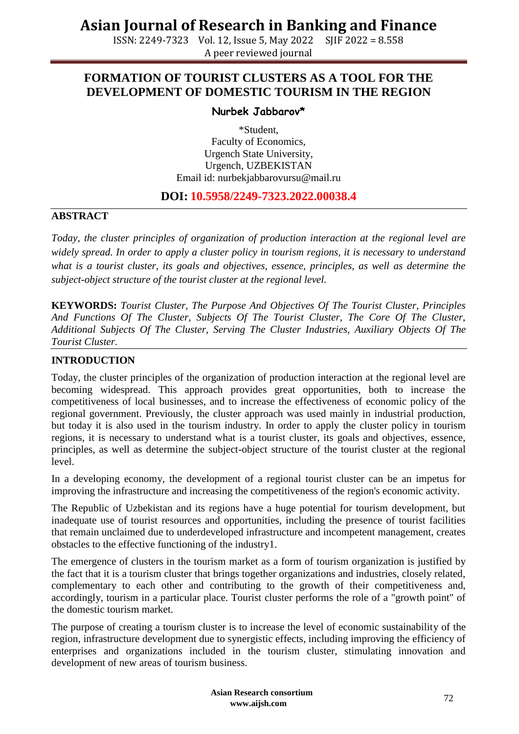ISSN: 2249-7323 Vol. 12, Issue 5, May 2022 SJIF 2022 = 8.558 A peer reviewed journal

#### **FORMATION OF TOURIST CLUSTERS AS A TOOL FOR THE DEVELOPMENT OF DOMESTIC TOURISM IN THE REGION**

#### **Nurbek Jabbarov\***

\*Student, Faculty of Economics, Urgench State University, Urgench, UZBEKISTAN Email id: [nurbekjabbarovursu@mail.ru](mailto:nurbekjabbarovursu@mail.ru)

#### **DOI: 10.5958/2249-7323.2022.00038.4**

#### **ABSTRACT**

*Today, the cluster principles of organization of production interaction at the regional level are widely spread. In order to apply a cluster policy in tourism regions, it is necessary to understand what is a tourist cluster, its goals and objectives, essence, principles, as well as determine the subject-object structure of the tourist cluster at the regional level.*

**KEYWORDS:** *Tourist Cluster, The Purpose And Objectives Of The Tourist Cluster, Principles And Functions Of The Cluster, Subjects Of The Tourist Cluster, The Core Of The Cluster, Additional Subjects Of The Cluster, Serving The Cluster Industries, Auxiliary Objects Of The Tourist Cluster.*

#### **INTRODUCTION**

Today, the cluster principles of the organization of production interaction at the regional level are becoming widespread. This approach provides great opportunities, both to increase the competitiveness of local businesses, and to increase the effectiveness of economic policy of the regional government. Previously, the cluster approach was used mainly in industrial production, but today it is also used in the tourism industry. In order to apply the cluster policy in tourism regions, it is necessary to understand what is a tourist cluster, its goals and objectives, essence, principles, as well as determine the subject-object structure of the tourist cluster at the regional level.

In a developing economy, the development of a regional tourist cluster can be an impetus for improving the infrastructure and increasing the competitiveness of the region's economic activity.

The Republic of Uzbekistan and its regions have a huge potential for tourism development, but inadequate use of tourist resources and opportunities, including the presence of tourist facilities that remain unclaimed due to underdeveloped infrastructure and incompetent management, creates obstacles to the effective functioning of the industry1.

The emergence of clusters in the tourism market as a form of tourism organization is justified by the fact that it is a tourism cluster that brings together organizations and industries, closely related, complementary to each other and contributing to the growth of their competitiveness and, accordingly, tourism in a particular place. Tourist cluster performs the role of a "growth point" of the domestic tourism market.

The purpose of creating a tourism cluster is to increase the level of economic sustainability of the region, infrastructure development due to synergistic effects, including improving the efficiency of enterprises and organizations included in the tourism cluster, stimulating innovation and development of new areas of tourism business.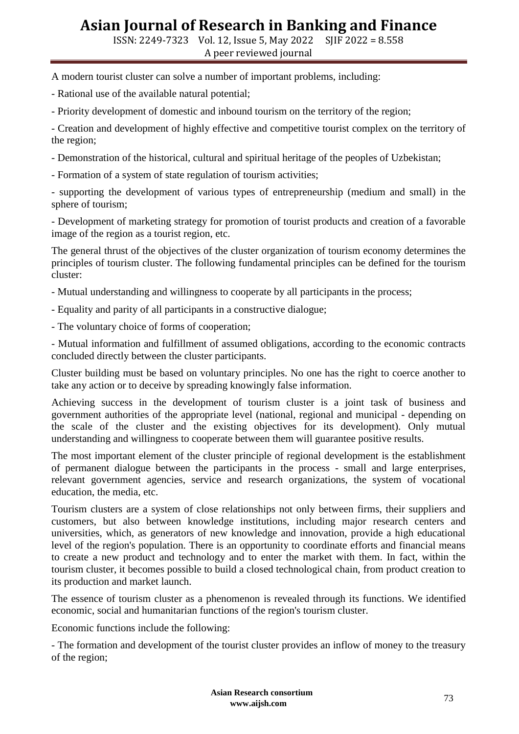ISSN: 2249-7323 Vol. 12, Issue 5, May 2022 SJIF 2022 = 8.558 A peer reviewed journal

A modern tourist cluster can solve a number of important problems, including:

- Rational use of the available natural potential;

- Priority development of domestic and inbound tourism on the territory of the region;

- Creation and development of highly effective and competitive tourist complex on the territory of the region;

- Demonstration of the historical, cultural and spiritual heritage of the peoples of Uzbekistan;

- Formation of a system of state regulation of tourism activities;

- supporting the development of various types of entrepreneurship (medium and small) in the sphere of tourism;

- Development of marketing strategy for promotion of tourist products and creation of a favorable image of the region as a tourist region, etc.

The general thrust of the objectives of the cluster organization of tourism economy determines the principles of tourism cluster. The following fundamental principles can be defined for the tourism cluster:

- Mutual understanding and willingness to cooperate by all participants in the process;

- Equality and parity of all participants in a constructive dialogue;

- The voluntary choice of forms of cooperation;

- Mutual information and fulfillment of assumed obligations, according to the economic contracts concluded directly between the cluster participants.

Cluster building must be based on voluntary principles. No one has the right to coerce another to take any action or to deceive by spreading knowingly false information.

Achieving success in the development of tourism cluster is a joint task of business and government authorities of the appropriate level (national, regional and municipal - depending on the scale of the cluster and the existing objectives for its development). Only mutual understanding and willingness to cooperate between them will guarantee positive results.

The most important element of the cluster principle of regional development is the establishment of permanent dialogue between the participants in the process - small and large enterprises, relevant government agencies, service and research organizations, the system of vocational education, the media, etc.

Tourism clusters are a system of close relationships not only between firms, their suppliers and customers, but also between knowledge institutions, including major research centers and universities, which, as generators of new knowledge and innovation, provide a high educational level of the region's population. There is an opportunity to coordinate efforts and financial means to create a new product and technology and to enter the market with them. In fact, within the tourism cluster, it becomes possible to build a closed technological chain, from product creation to its production and market launch.

The essence of tourism cluster as a phenomenon is revealed through its functions. We identified economic, social and humanitarian functions of the region's tourism cluster.

Economic functions include the following:

- The formation and development of the tourist cluster provides an inflow of money to the treasury of the region;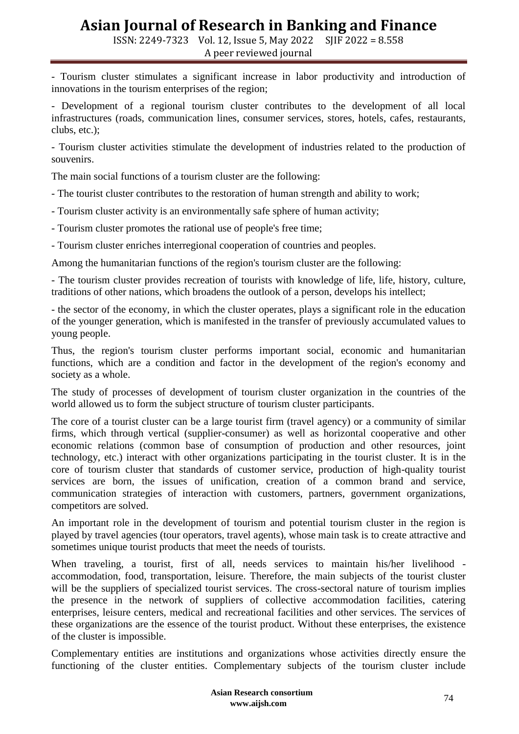ISSN: 2249-7323 Vol. 12, Issue 5, May 2022 SJIF 2022 = 8.558 A peer reviewed journal

- Tourism cluster stimulates a significant increase in labor productivity and introduction of innovations in the tourism enterprises of the region;

- Development of a regional tourism cluster contributes to the development of all local infrastructures (roads, communication lines, consumer services, stores, hotels, cafes, restaurants, clubs, etc.);

- Tourism cluster activities stimulate the development of industries related to the production of souvenirs.

The main social functions of a tourism cluster are the following:

- The tourist cluster contributes to the restoration of human strength and ability to work;

- Tourism cluster activity is an environmentally safe sphere of human activity;
- Tourism cluster promotes the rational use of people's free time;
- Tourism cluster enriches interregional cooperation of countries and peoples.

Among the humanitarian functions of the region's tourism cluster are the following:

- The tourism cluster provides recreation of tourists with knowledge of life, life, history, culture, traditions of other nations, which broadens the outlook of a person, develops his intellect;

- the sector of the economy, in which the cluster operates, plays a significant role in the education of the younger generation, which is manifested in the transfer of previously accumulated values to young people.

Thus, the region's tourism cluster performs important social, economic and humanitarian functions, which are a condition and factor in the development of the region's economy and society as a whole.

The study of processes of development of tourism cluster organization in the countries of the world allowed us to form the subject structure of tourism cluster participants.

The core of a tourist cluster can be a large tourist firm (travel agency) or a community of similar firms, which through vertical (supplier-consumer) as well as horizontal cooperative and other economic relations (common base of consumption of production and other resources, joint technology, etc.) interact with other organizations participating in the tourist cluster. It is in the core of tourism cluster that standards of customer service, production of high-quality tourist services are born, the issues of unification, creation of a common brand and service, communication strategies of interaction with customers, partners, government organizations, competitors are solved.

An important role in the development of tourism and potential tourism cluster in the region is played by travel agencies (tour operators, travel agents), whose main task is to create attractive and sometimes unique tourist products that meet the needs of tourists.

When traveling, a tourist, first of all, needs services to maintain his/her livelihood accommodation, food, transportation, leisure. Therefore, the main subjects of the tourist cluster will be the suppliers of specialized tourist services. The cross-sectoral nature of tourism implies the presence in the network of suppliers of collective accommodation facilities, catering enterprises, leisure centers, medical and recreational facilities and other services. The services of these organizations are the essence of the tourist product. Without these enterprises, the existence of the cluster is impossible.

Complementary entities are institutions and organizations whose activities directly ensure the functioning of the cluster entities. Complementary subjects of the tourism cluster include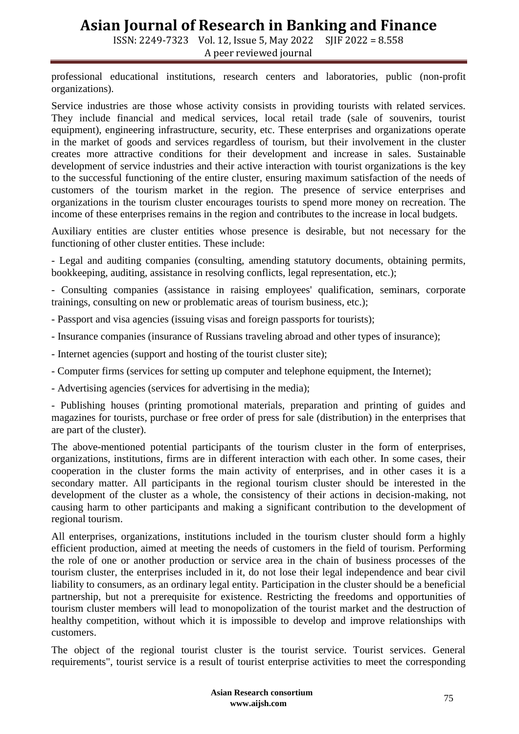ISSN: 2249-7323 Vol. 12, Issue 5, May 2022 SJIF 2022 = 8.558

A peer reviewed journal

professional educational institutions, research centers and laboratories, public (non-profit organizations).

Service industries are those whose activity consists in providing tourists with related services. They include financial and medical services, local retail trade (sale of souvenirs, tourist equipment), engineering infrastructure, security, etc. These enterprises and organizations operate in the market of goods and services regardless of tourism, but their involvement in the cluster creates more attractive conditions for their development and increase in sales. Sustainable development of service industries and their active interaction with tourist organizations is the key to the successful functioning of the entire cluster, ensuring maximum satisfaction of the needs of customers of the tourism market in the region. The presence of service enterprises and organizations in the tourism cluster encourages tourists to spend more money on recreation. The income of these enterprises remains in the region and contributes to the increase in local budgets.

Auxiliary entities are cluster entities whose presence is desirable, but not necessary for the functioning of other cluster entities. These include:

- Legal and auditing companies (consulting, amending statutory documents, obtaining permits, bookkeeping, auditing, assistance in resolving conflicts, legal representation, etc.);

- Consulting companies (assistance in raising employees' qualification, seminars, corporate trainings, consulting on new or problematic areas of tourism business, etc.);

- Passport and visa agencies (issuing visas and foreign passports for tourists);
- Insurance companies (insurance of Russians traveling abroad and other types of insurance);
- Internet agencies (support and hosting of the tourist cluster site);
- Computer firms (services for setting up computer and telephone equipment, the Internet);
- Advertising agencies (services for advertising in the media);

- Publishing houses (printing promotional materials, preparation and printing of guides and magazines for tourists, purchase or free order of press for sale (distribution) in the enterprises that are part of the cluster).

The above-mentioned potential participants of the tourism cluster in the form of enterprises, organizations, institutions, firms are in different interaction with each other. In some cases, their cooperation in the cluster forms the main activity of enterprises, and in other cases it is a secondary matter. All participants in the regional tourism cluster should be interested in the development of the cluster as a whole, the consistency of their actions in decision-making, not causing harm to other participants and making a significant contribution to the development of regional tourism.

All enterprises, organizations, institutions included in the tourism cluster should form a highly efficient production, aimed at meeting the needs of customers in the field of tourism. Performing the role of one or another production or service area in the chain of business processes of the tourism cluster, the enterprises included in it, do not lose their legal independence and bear civil liability to consumers, as an ordinary legal entity. Participation in the cluster should be a beneficial partnership, but not a prerequisite for existence. Restricting the freedoms and opportunities of tourism cluster members will lead to monopolization of the tourist market and the destruction of healthy competition, without which it is impossible to develop and improve relationships with customers.

The object of the regional tourist cluster is the tourist service. Tourist services. General requirements", tourist service is a result of tourist enterprise activities to meet the corresponding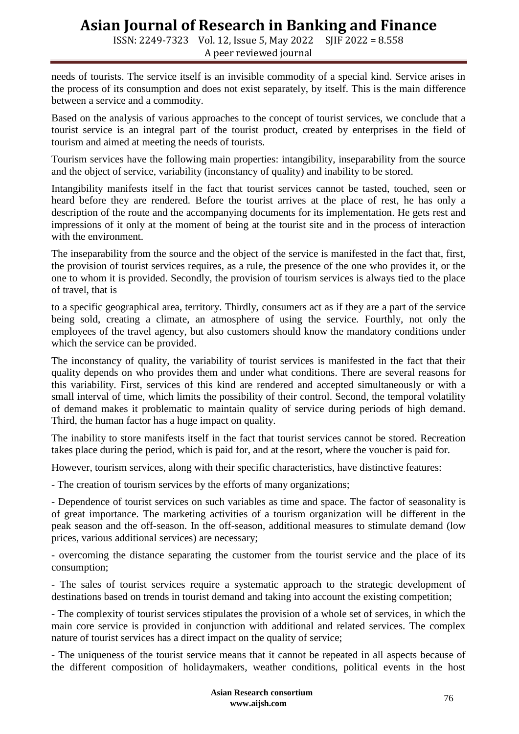ISSN: 2249-7323 Vol. 12, Issue 5, May 2022 SJIF 2022 = 8.558 A peer reviewed journal

needs of tourists. The service itself is an invisible commodity of a special kind. Service arises in the process of its consumption and does not exist separately, by itself. This is the main difference between a service and a commodity.

Based on the analysis of various approaches to the concept of tourist services, we conclude that a tourist service is an integral part of the tourist product, created by enterprises in the field of tourism and aimed at meeting the needs of tourists.

Tourism services have the following main properties: intangibility, inseparability from the source and the object of service, variability (inconstancy of quality) and inability to be stored.

Intangibility manifests itself in the fact that tourist services cannot be tasted, touched, seen or heard before they are rendered. Before the tourist arrives at the place of rest, he has only a description of the route and the accompanying documents for its implementation. He gets rest and impressions of it only at the moment of being at the tourist site and in the process of interaction with the environment.

The inseparability from the source and the object of the service is manifested in the fact that, first, the provision of tourist services requires, as a rule, the presence of the one who provides it, or the one to whom it is provided. Secondly, the provision of tourism services is always tied to the place of travel, that is

to a specific geographical area, territory. Thirdly, consumers act as if they are a part of the service being sold, creating a climate, an atmosphere of using the service. Fourthly, not only the employees of the travel agency, but also customers should know the mandatory conditions under which the service can be provided.

The inconstancy of quality, the variability of tourist services is manifested in the fact that their quality depends on who provides them and under what conditions. There are several reasons for this variability. First, services of this kind are rendered and accepted simultaneously or with a small interval of time, which limits the possibility of their control. Second, the temporal volatility of demand makes it problematic to maintain quality of service during periods of high demand. Third, the human factor has a huge impact on quality.

The inability to store manifests itself in the fact that tourist services cannot be stored. Recreation takes place during the period, which is paid for, and at the resort, where the voucher is paid for.

However, tourism services, along with their specific characteristics, have distinctive features:

- The creation of tourism services by the efforts of many organizations;

- Dependence of tourist services on such variables as time and space. The factor of seasonality is of great importance. The marketing activities of a tourism organization will be different in the peak season and the off-season. In the off-season, additional measures to stimulate demand (low prices, various additional services) are necessary;

- overcoming the distance separating the customer from the tourist service and the place of its consumption;

- The sales of tourist services require a systematic approach to the strategic development of destinations based on trends in tourist demand and taking into account the existing competition;

- The complexity of tourist services stipulates the provision of a whole set of services, in which the main core service is provided in conjunction with additional and related services. The complex nature of tourist services has a direct impact on the quality of service;

- The uniqueness of the tourist service means that it cannot be repeated in all aspects because of the different composition of holidaymakers, weather conditions, political events in the host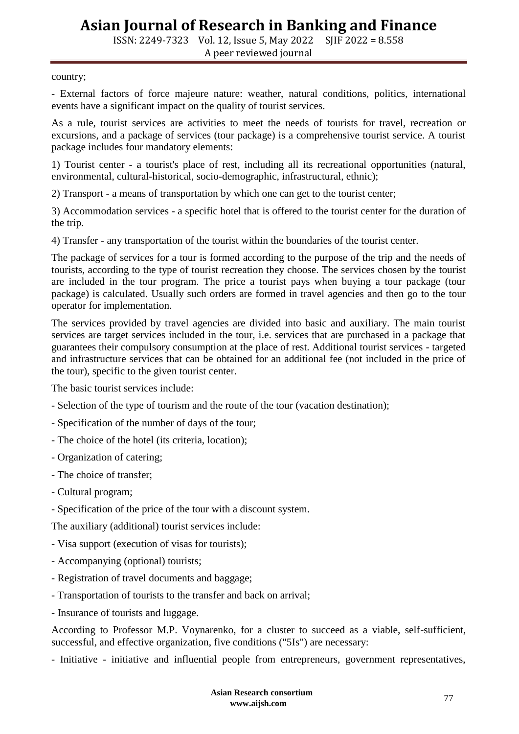ISSN: 2249-7323 Vol. 12, Issue 5, May 2022 SJIF 2022 = 8.558 A peer reviewed journal

country;

- External factors of force majeure nature: weather, natural conditions, politics, international events have a significant impact on the quality of tourist services.

As a rule, tourist services are activities to meet the needs of tourists for travel, recreation or excursions, and a package of services (tour package) is a comprehensive tourist service. A tourist package includes four mandatory elements:

1) Tourist center - a tourist's place of rest, including all its recreational opportunities (natural, environmental, cultural-historical, socio-demographic, infrastructural, ethnic);

2) Transport - a means of transportation by which one can get to the tourist center;

3) Accommodation services - a specific hotel that is offered to the tourist center for the duration of the trip.

4) Transfer - any transportation of the tourist within the boundaries of the tourist center.

The package of services for a tour is formed according to the purpose of the trip and the needs of tourists, according to the type of tourist recreation they choose. The services chosen by the tourist are included in the tour program. The price a tourist pays when buying a tour package (tour package) is calculated. Usually such orders are formed in travel agencies and then go to the tour operator for implementation.

The services provided by travel agencies are divided into basic and auxiliary. The main tourist services are target services included in the tour, i.e. services that are purchased in a package that guarantees their compulsory consumption at the place of rest. Additional tourist services - targeted and infrastructure services that can be obtained for an additional fee (not included in the price of the tour), specific to the given tourist center.

The basic tourist services include:

- Selection of the type of tourism and the route of the tour (vacation destination);
- Specification of the number of days of the tour;
- The choice of the hotel (its criteria, location);
- Organization of catering;
- The choice of transfer;
- Cultural program;
- Specification of the price of the tour with a discount system.

The auxiliary (additional) tourist services include:

- Visa support (execution of visas for tourists);
- Accompanying (optional) tourists;
- Registration of travel documents and baggage;
- Transportation of tourists to the transfer and back on arrival;
- Insurance of tourists and luggage.

According to Professor M.P. Voynarenko, for a cluster to succeed as a viable, self-sufficient, successful, and effective organization, five conditions ("5Is") are necessary:

- Initiative - initiative and influential people from entrepreneurs, government representatives,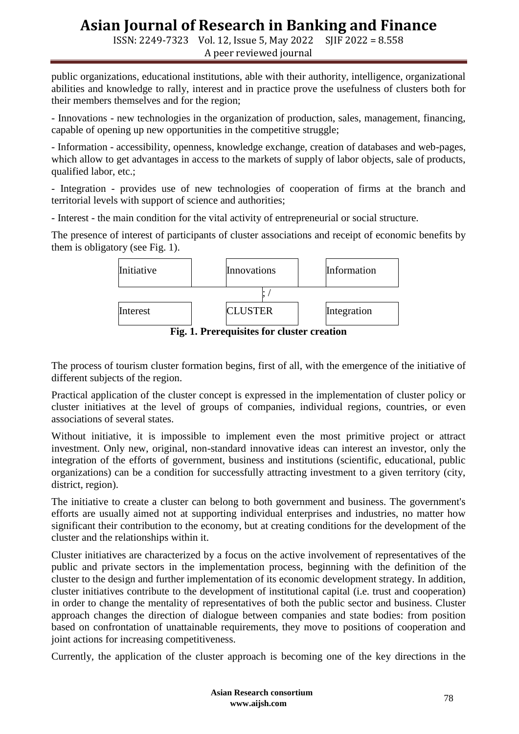ISSN: 2249-7323 Vol. 12, Issue 5, May 2022 SJIF 2022 = 8.558 A peer reviewed journal

public organizations, educational institutions, able with their authority, intelligence, organizational abilities and knowledge to rally, interest and in practice prove the usefulness of clusters both for their members themselves and for the region;

- Innovations - new technologies in the organization of production, sales, management, financing, capable of opening up new opportunities in the competitive struggle;

- Information - accessibility, openness, knowledge exchange, creation of databases and web-pages, which allow to get advantages in access to the markets of supply of labor objects, sale of products, qualified labor, etc.;

- Integration - provides use of new technologies of cooperation of firms at the branch and territorial levels with support of science and authorities;

- Interest - the main condition for the vital activity of entrepreneurial or social structure.

The presence of interest of participants of cluster associations and receipt of economic benefits by them is obligatory (see Fig. 1).

| Initiative                                 | Innovations    | Information |
|--------------------------------------------|----------------|-------------|
| Interest                                   | <b>CLUSTER</b> | Integration |
| Fig. 1. Prerequisites for cluster creation |                |             |

The process of tourism cluster formation begins, first of all, with the emergence of the initiative of different subjects of the region.

Practical application of the cluster concept is expressed in the implementation of cluster policy or cluster initiatives at the level of groups of companies, individual regions, countries, or even associations of several states.

Without initiative, it is impossible to implement even the most primitive project or attract investment. Only new, original, non-standard innovative ideas can interest an investor, only the integration of the efforts of government, business and institutions (scientific, educational, public organizations) can be a condition for successfully attracting investment to a given territory (city, district, region).

The initiative to create a cluster can belong to both government and business. The government's efforts are usually aimed not at supporting individual enterprises and industries, no matter how significant their contribution to the economy, but at creating conditions for the development of the cluster and the relationships within it.

Cluster initiatives are characterized by a focus on the active involvement of representatives of the public and private sectors in the implementation process, beginning with the definition of the cluster to the design and further implementation of its economic development strategy. In addition, cluster initiatives contribute to the development of institutional capital (i.e. trust and cooperation) in order to change the mentality of representatives of both the public sector and business. Cluster approach changes the direction of dialogue between companies and state bodies: from position based on confrontation of unattainable requirements, they move to positions of cooperation and joint actions for increasing competitiveness.

Currently, the application of the cluster approach is becoming one of the key directions in the